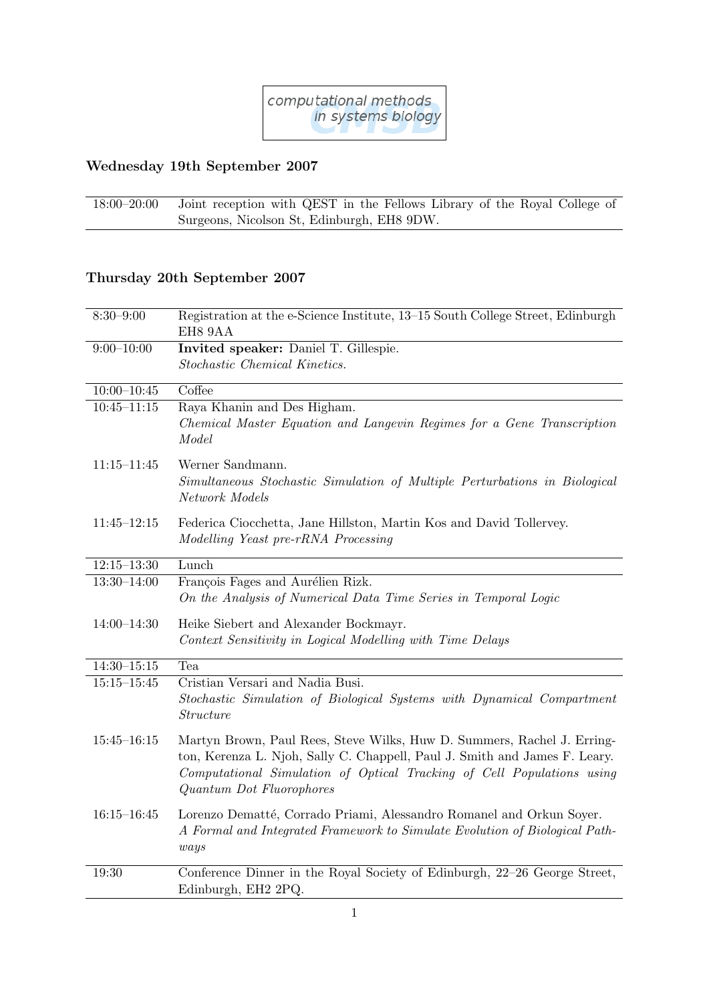

## Wednesday 19th September 2007

18:00–20:00 Joint reception with QEST in the Fellows Library of the Royal College of Surgeons, Nicolson St, Edinburgh, EH8 9DW.

## Thursday 20th September 2007

| $8:30 - 9:00$   | Registration at the e-Science Institute, 13–15 South College Street, Edinburgh                                                                                                                                                                              |
|-----------------|-------------------------------------------------------------------------------------------------------------------------------------------------------------------------------------------------------------------------------------------------------------|
|                 | EH8 9AA                                                                                                                                                                                                                                                     |
| $9:00 - 10:00$  | Invited speaker: Daniel T. Gillespie.                                                                                                                                                                                                                       |
|                 | Stochastic Chemical Kinetics.                                                                                                                                                                                                                               |
| $10:00 - 10:45$ | Coffee                                                                                                                                                                                                                                                      |
| $10:45 - 11:15$ | Raya Khanin and Des Higham.<br>Chemical Master Equation and Langevin Regimes for a Gene Transcription<br>Model                                                                                                                                              |
| $11:15 - 11:45$ | Werner Sandmann.<br>Simultaneous Stochastic Simulation of Multiple Perturbations in Biological<br>Network Models                                                                                                                                            |
| $11:45 - 12:15$ | Federica Ciocchetta, Jane Hillston, Martin Kos and David Tollervey.<br>Modelling Yeast pre-rRNA Processing                                                                                                                                                  |
| $12:15 - 13:30$ | Lunch                                                                                                                                                                                                                                                       |
| $13:30 - 14:00$ | François Fages and Aurélien Rizk.<br>On the Analysis of Numerical Data Time Series in Temporal Logic                                                                                                                                                        |
| $14:00 - 14:30$ | Heike Siebert and Alexander Bockmayr.<br>Context Sensitivity in Logical Modelling with Time Delays                                                                                                                                                          |
| $14:30 - 15:15$ | Tea                                                                                                                                                                                                                                                         |
| $15:15 - 15:45$ | Cristian Versari and Nadia Busi.<br>Stochastic Simulation of Biological Systems with Dynamical Compartment<br><i>Structure</i>                                                                                                                              |
| $15:45 - 16:15$ | Martyn Brown, Paul Rees, Steve Wilks, Huw D. Summers, Rachel J. Erring-<br>ton, Kerenza L. Njoh, Sally C. Chappell, Paul J. Smith and James F. Leary.<br>Computational Simulation of Optical Tracking of Cell Populations using<br>Quantum Dot Fluorophores |
| $16:15 - 16:45$ | Lorenzo Dematté, Corrado Priami, Alessandro Romanel and Orkun Soyer.<br>A Formal and Integrated Framework to Simulate Evolution of Biological Path-<br>ways                                                                                                 |
| 19:30           | Conference Dinner in the Royal Society of Edinburgh, 22-26 George Street,<br>Edinburgh, EH2 2PQ.                                                                                                                                                            |